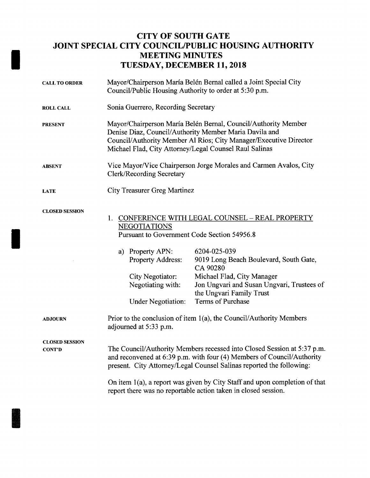## CITY OF SOUTH GATE JOINT SPECIAL CITY COUNCIL/PUBLIC HOUSING AUTHORITY MEETING MINUTES TUESDAY, DECEMBER 11, 2018

| <b>CALL TO ORDER</b>                   | Mayor/Chairperson María Belén Bernal called a Joint Special City<br>Council/Public Housing Authority to order at 5:30 p.m.                                                                                                                              |                                                                                                                                                |
|----------------------------------------|---------------------------------------------------------------------------------------------------------------------------------------------------------------------------------------------------------------------------------------------------------|------------------------------------------------------------------------------------------------------------------------------------------------|
| <b>ROLL CALL</b>                       | Sonia Guerrero, Recording Secretary                                                                                                                                                                                                                     |                                                                                                                                                |
| <b>PRESENT</b>                         | Mayor/Chairperson María Belén Bernal, Council/Authority Member<br>Denise Diaz, Council/Authority Member Maria Davila and<br>Council/Authority Member Al Rios; City Manager/Executive Director<br>Michael Flad, City Attorney/Legal Counsel Raul Salinas |                                                                                                                                                |
| <b>ABSENT</b>                          | Vice Mayor/Vice Chairperson Jorge Morales and Carmen Avalos, City<br><b>Clerk/Recording Secretary</b>                                                                                                                                                   |                                                                                                                                                |
| <b>LATE</b>                            | <b>City Treasurer Greg Martinez</b>                                                                                                                                                                                                                     |                                                                                                                                                |
| <b>CLOSED SESSION</b>                  | <b>CONFERENCE WITH LEGAL COUNSEL - REAL PROPERTY</b><br>1.<br><b>NEGOTIATIONS</b><br>Pursuant to Government Code Section 54956.8                                                                                                                        |                                                                                                                                                |
|                                        | a) Property APN:<br><b>Property Address:</b><br>City Negotiator:<br>Negotiating with:                                                                                                                                                                   | 6204-025-039<br>9019 Long Beach Boulevard, South Gate,<br>CA 90280<br>Michael Flad, City Manager<br>Jon Ungvari and Susan Ungvari, Trustees of |
|                                        | <b>Under Negotiation:</b>                                                                                                                                                                                                                               | the Ungvari Family Trust<br>Terms of Purchase                                                                                                  |
| <b>ADJOURN</b>                         | Prior to the conclusion of item 1(a), the Council/Authority Members<br>adjourned at 5:33 p.m.                                                                                                                                                           |                                                                                                                                                |
| <b>CLOSED SESSION</b><br><b>CONT'D</b> | The Council/Authority Members recessed into Closed Session at 5:37 p.m.<br>and reconvened at 6:39 p.m. with four (4) Members of Council/Authority<br>present. City Attorney/Legal Counsel Salinas reported the following:                               |                                                                                                                                                |
|                                        | On item 1(a), a report was given by City Staff and upon completion of that<br>report there was no reportable action taken in closed session.                                                                                                            |                                                                                                                                                |